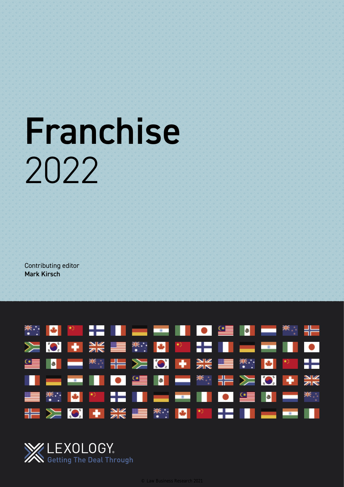# Franchise 2022

Contributing editor Mark Kirsch



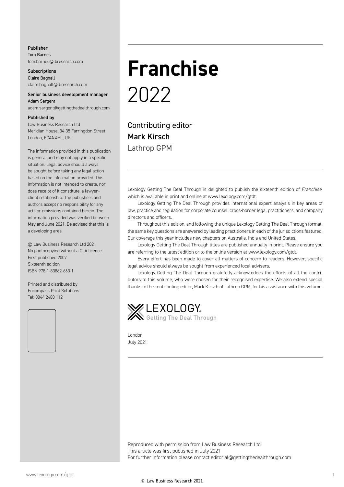#### Publisher Tom Barnes tom.barnes@lbresearch.com

**Subscriptions** Claire Bagnall claire.bagnall@lbresearch.com

#### Senior business development manager Adam Sargent

adam.sargent@gettingthedealthrough.com

#### Published by

Law Business Research Ltd Meridian House, 34-35 Farringdon Street London, EC4A 4HL, UK

The information provided in this publication is general and may not apply in a specific situation. Legal advice should always be sought before taking any legal action based on the information provided. This information is not intended to create, nor does receipt of it constitute, a lawyer– client relationship. The publishers and authors accept no responsibility for any acts or omissions contained herein. The information provided was verified between May and June 2021. Be advised that this is a developing area.

© Law Business Research Ltd 2021 No photocopying without a CLA licence. First published 2007 Sixteenth edition ISBN 978-1-83862-663-1

Printed and distributed by Encompass Print Solutions Tel: 0844 2480 112



### **Franchise** 2022

Contributing editor Mark Kirsch Lathrop GPM

Lexology Getting The Deal Through is delighted to publish the sixteenth edition of *Franchise*, which is available in print and online at www.lexology.com/gtdt.

Lexology Getting The Deal Through provides international expert analysis in key areas of law, practice and regulation for corporate counsel, cross-border legal practitioners, and company directors and officers.

Throughout this edition, and following the unique Lexology Getting The Deal Through format, the same key questions are answered by leading practitioners in each of the jurisdictions featured. Our coverage this year includes new chapters on Australia, India and United States.

Lexology Getting The Deal Through titles are published annually in print. Please ensure you are referring to the latest edition or to the online version at www.lexology.com/gtdt.

Every effort has been made to cover all matters of concern to readers. However, specific legal advice should always be sought from experienced local advisers.

Lexology Getting The Deal Through gratefully acknowledges the efforts of all the contributors to this volume, who were chosen for their recognised expertise. We also extend special thanks to the contributing editor, Mark Kirsch of Lathrop GPM, for his assistance with this volume.



London July 2021

Reproduced with permission from Law Business Research Ltd This article was first published in July 2021 For further information please contact editorial@gettingthedealthrough.com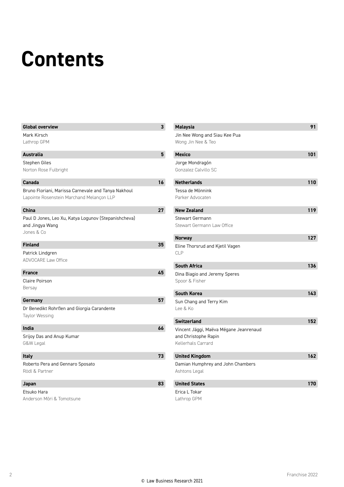### **Contents**

| <b>Global overview</b>                                                  | 3  |
|-------------------------------------------------------------------------|----|
| Mark Kirsch                                                             |    |
| Lathrop GPM                                                             |    |
| Australia                                                               | 5  |
| Stephen Giles                                                           |    |
| Norton Rose Fulbright                                                   |    |
|                                                                         |    |
| Canada                                                                  | 16 |
| Bruno Floriani, Marissa Carnevale and Tanya Nakhoul                     |    |
| Lapointe Rosenstein Marchand Melançon LLP                               |    |
| China                                                                   | 27 |
|                                                                         |    |
| Paul D Jones, Leo Xu, Katya Logunov (Stepanishcheva)<br>and Jingya Wang |    |
| Jones & Co                                                              |    |
|                                                                         |    |
| <b>Finland</b>                                                          | 35 |
| Patrick Lindgren                                                        |    |
| <b>ADVOCARE Law Office</b>                                              |    |
| <b>France</b>                                                           | 45 |
| <b>Claire Poirson</b>                                                   |    |
| Bersay                                                                  |    |
|                                                                         |    |
| Germany                                                                 | 57 |
| Dr Benedikt Rohrßen and Giorgia Carandente                              |    |
| Taylor Wessing                                                          |    |
| India                                                                   | 66 |
| Srijoy Das and Anup Kumar                                               |    |
| G&W Legal                                                               |    |
|                                                                         |    |
| <b>Italy</b>                                                            | 73 |
| Roberto Pera and Gennaro Sposato                                        |    |
| Rödl & Partner                                                          |    |
| Japan                                                                   | 83 |
| Etsuko Hara                                                             |    |
| Anderson Mōri & Tomotsune                                               |    |
|                                                                         |    |

| Malaysia                                            | 91  |
|-----------------------------------------------------|-----|
| Jin Nee Wong and Siau Kee Pua<br>Wong Jin Nee & Teo |     |
|                                                     |     |
| <b>Mexico</b>                                       | 101 |
| Jorge Mondragón                                     |     |
| Gonzalez Calvillo SC                                |     |
| <b>Netherlands</b>                                  | 110 |
| Tessa de Mönnink                                    |     |
| Parker Advocaten                                    |     |
| <b>New Zealand</b>                                  | 119 |
| <b>Stewart Germann</b>                              |     |
| Stewart Germann Law Office                          |     |
| <b>Norway</b>                                       | 127 |
| Eline Thorsrud and Kjetil Vagen<br><b>CLP</b>       |     |
| <b>South Africa</b>                                 | 136 |
| Dina Biagio and Jeremy Speres<br>Spoor & Fisher     |     |
| <b>South Korea</b>                                  | 143 |
| Sun Chang and Terry Kim<br>Lee & Ko                 |     |
| <b>Switzerland</b>                                  | 152 |
| Vincent Jäggi, Maëva Mégane Jeanrenaud              |     |
| and Christophe Rapin                                |     |
| Kellerhals Carrard                                  |     |
| <b>United Kingdom</b>                               | 162 |
| Damian Humphrey and John Chambers                   |     |
| Ashtons Legal                                       |     |
| <b>United States</b>                                | 170 |
| Erica L Tokar                                       |     |
| Lathrop GPM                                         |     |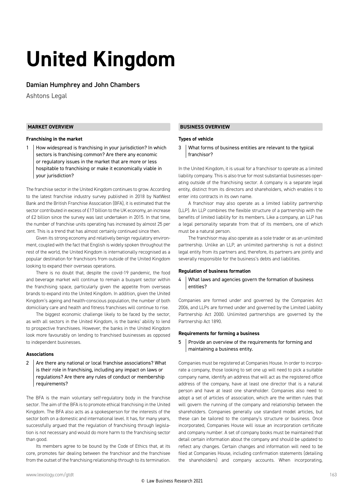## **United Kingdom**

#### Damian Humphrey and John Chambers

Ashtons Legal

#### **MARKET OVERVIEW**

#### **Franchising in the market**

1 | How widespread is franchising in your jurisdiction? In which sectors is franchising common? Are there any economic or regulatory issues in the market that are more or less hospitable to franchising or make it economically viable in your jurisdiction?

The franchise sector in the United Kingdom continues to grow. According to the latest franchise industry survey published in 2018 by NatWest Bank and the British Franchise Association (BFA), it is estimated that the sector contributed in excess of £17 billion to the UK economy, an increase of £2 billion since the survey was last undertaken in 2015. In that time, the number of franchise units operating has increased by almost 25 per cent. This is a trend that has almost certainly continued since then.

Given its strong economy and relatively benign regulatory environment, coupled with the fact that English is widely spoken throughout the rest of the world, the United Kingdom is internationally recognised as a popular destination for franchisors from outside of the United Kingdom looking to expand their overseas operations.

There is no doubt that, despite the covid-19 pandemic, the food and beverage market will continue to remain a buoyant sector within the franchising space, particularly given the appetite from overseas brands to expand into the United Kingdom. In addition, given the United Kingdom's ageing and health-conscious population, the number of both domiciliary care and health and fitness franchises will continue to rise.

The biggest economic challenge likely to be faced by the sector, as with all sectors in the United Kingdom, is the banks' ability to lend to prospective franchisees. However, the banks in the United Kingdom look more favourably on lending to franchised businesses as opposed to independent businesses.

#### **Associations**

2 Are there any national or local franchise associations? What is their role in franchising, including any impact on laws or regulations? Are there any rules of conduct or membership requirements?

The BFA is the main voluntary self-regulatory body in the franchise sector. The aim of the BFA is to promote ethical franchising in the United Kingdom. The BFA also acts as a spokesperson for the interests of the sector both on a domestic and international level. It has, for many years, successfully argued that the regulation of franchising through legislation is not necessary and would do more harm to the franchising sector than good.

Its members agree to be bound by the Code of Ethics that, at its core, promotes fair dealing between the franchisor and the franchisee from the outset of the franchising relationship through to its termination.

#### **BUSINESS OVERVIEW**

#### **Types of vehicle**

3 What forms of business entities are relevant to the typical franchisor?

In the United Kingdom, it is usual for a franchisor to operate as a limited liability company. This is also true for most substantial businesses operating outside of the franchising sector. A company is a separate legal entity, distinct from its directors and shareholders, which enables it to enter into contracts in its own name.

A franchisor may also operate as a limited liability partnership (LLP). An LLP combines the flexible structure of a partnership with the benefits of limited liability for its members. Like a company, an LLP has a legal personality separate from that of its members, one of which must be a natural person.

The franchisor may also operate as a sole trader or as an unlimited partnership. Unlike an LLP, an unlimited partnership is not a distinct legal entity from its partners and, therefore, its partners are jointly and severally responsible for the business's debts and liabilities.

#### **Regulation of business formation**

4 | What laws and agencies govern the formation of business entities?

Companies are formed under and governed by the Companies Act 2006, and LLPs are formed under and governed by the Limited Liability Partnership Act 2000. Unlimited partnerships are governed by the Partnership Act 1890.

#### **Requirements for forming a business**

5 | Provide an overview of the requirements for forming and maintaining a business entity.

Companies must be registered at Companies House. In order to incorporate a company, those looking to set one up will need to pick a suitable company name, identify an address that will act as the registered office address of the company, have at least one director that is a natural person and have at least one shareholder. Companies also need to adopt a set of articles of association, which are the written rules that will govern the running of the company and relationship between the shareholders. Companies generally use standard model articles, but these can be tailored to the company's structure or business. Once incorporated, Companies House will issue an incorporation certificate and company number. A set of company books must be maintained that detail certain information about the company and should be updated to reflect any changes. Certain changes and information will need to be filed at Companies House, including confirmation statements (detailing the shareholders) and company accounts. When incorporating,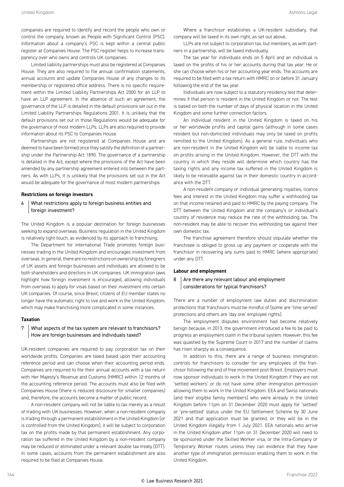companies are required to identify and record the people who own or control the company, known as People with Significant Control (PSC).

Information about a company's PSC is kept within a central public register at Companies House. The PSC register helps to increase transparency over who owns and controls UK companies.

Limited liability partnerships must also be registered at Companies House. They are also required to file annual confirmation statements, annual accounts and update Companies House of any changes to its membership or registered office address. There is no specific requirement within the Limited Liability Partnerships Act 2000 for an LLP to have an LLP agreement. In the absence of such an agreement, the governance of the LLP is detailed in the default provisions set out in the Limited Liability Partnerships Regulations 2001. It is unlikely that the default provisions set out in those Regulations would be adequate for the governance of most modern LLPs. LLPs are also required to provide information about its PSC to Companies House.

Partnerships are not registered at Companies House and are deemed to have been formed once they satisfy the definition of a partnership under the Partnership Act 1890. The governance of a partnership is detailed in the Act, except where the provisions of the Act have been amended by any partnership agreement entered into between the partners. As with LLPs, it is unlikely that the provisions set out in the Act would be adequate for the governance of most modern partnerships.

#### **Restrictions on foreign investors**

#### 6 What restrictions apply to foreign business entities and foreign investment?

The United Kingdom is a popular destination for foreign businesses seeking to expand overseas. Business regulation in the United Kingdom is relatively light-touch, as evidenced by its approach to franchising.

The Department for International Trade promotes foreign businesses trading in the United Kingdom and encourages investment from overseas. In general, there are no restrictions on ownership by foreigners of UK assets and foreign businesses and individuals are allowed to be both shareholders and directors in UK companies. UK immigration laws highlight how foreign investment is encouraged, allowing individuals from overseas to apply for visas based on their investment into certain UK companies. Of course, since Brexit, citizens of EU member states no longer have the automatic right to live and work in the United Kingdom, which may make franchising more complicated in some instances.

#### **Taxation**

#### 7 What aspects of the tax system are relevant to franchisors? How are foreign businesses and individuals taxed?

UK-resident companies are required to pay corporation tax on their worldwide profits. Companies are taxed based upon their accounting reference period and can choose when their accounting period ends. Companies are required to file their annual accounts with a tax return with Her Majesty's Revenue and Customs (HMRC) within 12 months of the accounting reference period. The accounts must also be filed with Companies House (there is reduced disclosure for smaller companies) and, therefore, the accounts become a matter of public record.

A non-resident company will not be liable to tax merely as a result of trading with UK businesses. However, when a non-resident company is trading through a permanent establishment in the United Kingdom (or is controlled from the United Kingdom), it will be subject to corporation tax on the profits made by that permanent establishment. Any corporation tax suffered in the United Kingdom by a non-resident company may be reduced or eliminated under a relevant double tax treaty (DTT). In some cases, accounts from the permanent establishment are also required to be filed at Companies House.

Where a franchisor establishes a UK-resident subsidiary, that company will be taxed in its own right, as set out above.

LLPs are not subject to corporation tax, but members, as with partners in a partnership, will be taxed individually.

The tax year for individuals ends on 5 April and an individual is taxed on the profits of his or her accounts during that tax year. He or she can choose when his or her accounting year ends. The accounts are required to be filed with a tax return with HMRC on or before 31 January following the end of the tax year.

Individuals are now subject to a statutory residency test that determines if that person is resident in the United Kingdom or not. The test is based on both the number of days of physical location in the United Kingdom and some further connection factors.

An individual resident in the United Kingdom is taxed on his or her worldwide profits and capital gains (although in some cases resident but non-domiciled individuals may only be taxed on profits remitted to the United Kingdom). As a general rule, individuals who are non-resident in the United Kingdom will be liable to income tax on profits arising in the United Kingdom. However, the DTT with the country in which they reside will determine which country has the taxing rights and any income tax suffered in the United Kingdom is likely to be relievable against tax in their domestic country in accordance with the DTT.

A non-resident company or individual generating royalties, licence fees and interest in the United Kingdom may suffer a withholding tax on that income retained and paid to HMRC by the paying company. The DTT between the United Kingdom and the company's or individual's country of residence may reduce the rate of the withholding tax. The non-resident may be able to recover this withholding tax against their own domestic tax.

The franchise agreement therefore should stipulate whether the franchisee is obliged to gross up any payment or cooperate with the franchisor in recovering any sums paid to HMRC (where appropriate) under any DTT.

#### **Labour and employment**

#### 8 Are there any relevant labour and employment considerations for typical franchisors?

There are a number of employment law duties and discrimination protections that franchisors must be mindful of (some are 'time served' protections and others are 'day one' employee rights).

The employment disputes environment had become relatively benign because, in 2013, the government introduced a fee to be paid to progress an employment claim in the tribunal system. However, this fee was quashed by the Supreme Court in 2017 and the number of claims has risen sharply as a consequence.

In addition to this, there are a range of business immigration controls for franchisors to consider for any employees of the franchisor following the end of free movement post-Brexit. Employers must now sponsor individuals to work in the United Kingdom if they are not 'settled workers' or do not have some other immigration permission allowing them to work in the United Kingdom. EEA and Swiss nationals (and their eligible family members) who were already in the United Kingdom before 11pm on 31 December 2020 must apply for 'settled' or 'pre-settled' status under the EU Settlement Scheme by 30 June 2021 and that application must be granted, or they will be in the United Kingdom illegally from 1 July 2021. EEA nationals who arrive in the United Kingdom after 11pm on 31 December 2020 will need to be sponsored under the Skilled Worker visa, or the Intra-Company or Temporary Worker routes unless they can evidence that they have another type of immigration permission enabling them to work in the United Kingdom.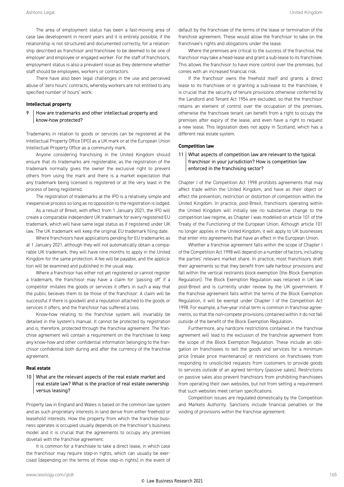The area of employment status has been a fast-moving area of case law development in recent years and it is entirely possible, if the relationship is not structured and documented correctly, for a relationship described as franchisor and franchisee to be deemed to be one of employer and employee or engaged worker. For the staff of franchisors, employment status is also a prevalent issue as they determine whether staff should be employees, workers or contractors.

There have also been legal challenges in the use and perceived abuse of 'zero hours' contracts, whereby workers are not entitled to any specified number of hours' work.

#### **Intellectual property**

#### 9 How are trademarks and other intellectual property and know-how protected?

Trademarks in relation to goods or services can be registered at the Intellectual Property Office (IPO) as a UK mark or at the European Union Intellectual Property Office as a community mark.

Anyone considering franchising in the United Kingdom should ensure that its trademarks are registerable, as the registration of the trademark normally gives the owner the exclusive right to prevent others from using the mark and there is a market expectation that any trademark being licensed is registered or at the very least in the process of being registered.

The registration of trademarks at the IPO is a relatively simple and inexpensive process so long as no opposition to the registration is lodged.

As a result of Brexit, with effect from 1 January 2021, the IPO will create a comparable independent UK trademark for every registered EU trademark, which will have same legal status as if registered under UK law. The UK trademark will keep the original EU trademark filing date.

Where franchisors have applications pending for EU trademarks as at 1 January 2021, although they will not automatically obtain a comparable UK trademark, they will have nine months to apply in the United Kingdom for the same protection. A fee will be payable, and the application will be examined and published in the usual way.

Where a franchisor has either not yet registered or cannot register a trademark, the franchisor may have a claim for 'passing off' if a competitor imitates the goods or services it offers in such a way that the public believes them to be those of the franchisor. A claim will be successful if there is goodwill and a reputation attached to the goods or services it offers, and the franchisor has suffered a loss.

Know-how relating to the franchise system will invariably be detailed in the system's manual. It cannot be protected by registration and is, therefore, protected through the franchise agreement. The franchise agreement will contain a requirement on the franchisee to keep any know-how and other confidential information belonging to the franchisor confidential both during and after the currency of the franchise agreement.

#### **Real estate**

#### 10 What are the relevant aspects of the real estate market and real estate law? What is the practice of real estate ownership versus leasing?

Property law in England and Wales is based on the common law system and as such proprietary interests in land derive from either freehold or leasehold interests. How the property from which the franchise business operates is occupied usually depends on the franchisor's business model and it is crucial that the agreements to occupy any premises dovetail with the franchise agreement.

It is common for a franchisee to take a direct lease, in which case the franchisor may require step-in rights, which can usually be exercised (depending on the terms of those step-in rights) in the event of default by the franchisee of the terms of the lease or termination of the franchise agreement. These would allow the franchisor to take on the franchisee's rights and obligations under the lease.

Where the premises are critical to the success of the franchise, the franchisor may take a head-lease and grant a sub-lease to its franchisee. This allows the franchisor to have more control over the premises, but comes with an increased financial risk.

If the franchisor owns the freehold itself and grants a direct lease to its franchisee or is granting a sub-lease to the franchisee, it is crucial that the security of tenure provisions otherwise conferred by the Landlord and Tenant Act 1954 are excluded, so that the franchisor retains an element of control over the occupation of the premises, otherwise the franchisee tenant can benefit from a right to occupy the premises after expiry of the lease, and even have a right to request a new lease. This legislation does not apply in Scotland, which has a different real estate system.

#### **Competition law**

#### 11 What aspects of competition law are relevant to the typical franchisor in your jurisdiction? How is competition law enforced in the franchising sector?

Chapter I of the Competition Act 1998 prohibits agreements that may affect trade within the United Kingdom, and have as their object or effect the prevention, restriction or distortion of competition within the United Kingdom. In practice, post-Brexit, franchisors operating within the United Kingdom will initially see no substantive change to the competition law regime, as Chapter I was modelled on article 101 of the Treaty of the Functioning of the European Union. Although article 101 no longer applies in the United Kingdom, it will apply to UK businesses that enter into agreements that have an effect in the European Union.

Whether a franchise agreement falls within the scope of Chapter I of the Competition Act 1998 will depend on a number of factors, including the parties' relevant market share. In practice, most franchisors draft their agreements so that they benefit from safe harbour provisions and fall within the vertical restraints block exemption (the Block Exemption Regulation). The Block Exemption Regulation was retained in UK law post-Brexit and is currently under review by the UK government. If the franchise agreement falls within the terms of the Block Exemption Regulation, it will be exempt under Chapter I of the Competition Act 1998. For example, a five-year initial term is common in franchise agreements, so that the non-compete provisions contained within it do not fall outside of the benefit of the Block Exemption Regulation.

Furthermore, any hardcore restrictions contained in the franchise agreement will lead to the exclusion of the franchise agreement from the scope of the Block Exemption Regulation. These include an obligation on franchisees to sell the goods and services for a minimum price (resale price maintenance) or restrictions on franchisees from responding to unsolicited requests from customers to provide goods to services outside of an agreed territory (passive sales). Restrictions on passive sales also prevent franchisors from prohibiting franchisees from operating their own websites, but not from setting a requirement that such websites meet certain specifications.

Competition issues are regulated domestically by the Competition and Markets Authority. Sanctions include financial penalties or the voiding of provisions within the franchise agreement.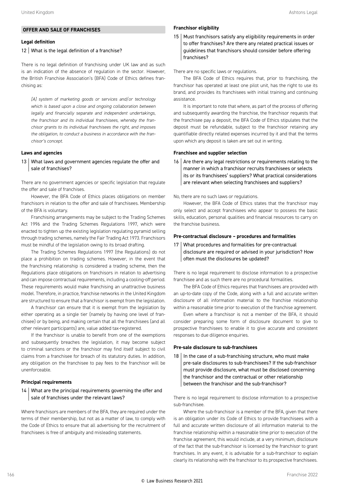#### **OFFER AND SALE OF FRANCHISES**

#### **Legal definition**

#### 12 What is the legal definition of a franchise?

There is no legal definition of franchising under UK law and as such is an indication of the absence of regulation in the sector. However, the British Franchise Association's (BFA) Code of Ethics defines franchising as:

*[A] system of marketing goods or services and/or technology which is based upon a close and ongoing collaboration between legally and financially separate and independent undertakings, the franchisor and its individual franchisees, whereby the franchisor grants to its individual franchisees the right, and imposes the obligation, to conduct a business in accordance with the franchisor's concept.*

#### **Laws and agencies**

#### 13 What laws and government agencies regulate the offer and sale of franchises?

There are no government agencies or specific legislation that regulate the offer and sale of franchises.

However, the BFA Code of Ethics places obligations on member franchisors in relation to the offer and sale of franchisees. Membership of the BFA is voluntary.

Franchising arrangements may be subject to the Trading Schemes Act 1996 and the Trading Schemes Regulations 1997, which were enacted to tighten up the existing legislation regulating pyramid selling through trading schemes, namely the Fair Trading Act 1973. Franchisors must be mindful of the legislation owing to its broad drafting.

The Trading Schemes Regulations 1997 (the Regulations) do not place a prohibition on trading schemes. However, in the event that the franchising relationship is considered a trading scheme, then the Regulations place obligations on franchisors in relation to advertising and can impose contractual requirements, including a cooling-off period. These requirements would make franchising an unattractive business model. Therefore, in practice, franchise networks in the United Kingdom are structured to ensure that a franchisor is exempt from the legislation.

A franchisor can ensure that it is exempt from the legislation by either operating as a single tier (namely by having one level of franchisee) or by being, and making certain that all the franchisees (and all other relevant participants) are, value added tax-registered.

If the franchisor is unable to benefit from one of the exemptions and subsequently breaches the legislation, it may become subject to criminal sanctions or the franchisor may find itself subject to civil claims from a franchisee for breach of its statutory duties. In addition, any obligation on the franchisee to pay fees to the franchisor will be unenforceable.

#### **Principal requirements**

#### 14 What are the principal requirements governing the offer and sale of franchises under the relevant laws?

Where franchisors are members of the BFA, they are required under the terms of their membership, but not as a matter of law, to comply with the Code of Ethics to ensure that all advertising for the recruitment of franchisees is free of ambiguity and misleading statements.

#### **Franchisor eligibility**

15 Must franchisors satisfy any eligibility requirements in order to offer franchises? Are there any related practical issues or guidelines that franchisors should consider before offering franchises?

There are no specific laws or regulations.

The BFA Code of Ethics requires that, prior to franchising, the franchisor has operated at least one pilot unit, has the right to use its brand, and provides its franchisees with initial training and continuing assistance.

It is important to note that where, as part of the process of offering and subsequently awarding the franchise, the franchisor requests that the franchisee pay a deposit, the BFA Code of Ethics stipulates that the deposit must be refundable, subject to the franchisor retaining any quantifiable directly related expenses incurred by it and that the terms upon which any deposit is taken are set out in writing.

#### **Franchisee and supplier selection**

 $16$  Are there any legal restrictions or requirements relating to the manner in which a franchisor recruits franchisees or selects its or its franchisees' suppliers? What practical considerations are relevant when selecting franchisees and suppliers?

#### No, there are no such laws or regulations.

However, the BFA Code of Ethics states that the franchisor may only select and accept franchisees who appear to possess the basic skills, education, personal qualities and financial resources to carry on the franchise business.

#### **Pre-contractual disclosure – procedures and formalities**

17 What procedures and formalities for pre-contractual disclosure are required or advised in your jurisdiction? How often must the disclosures be updated?

There is no legal requirement to disclose information to a prospective franchisee and as such there are no procedural formalities.

The BFA Code of Ethics requires that franchisees are provided with an up-to-date copy of the Code, along with a full and accurate written disclosure of all information material to the franchise relationship within a reasonable time prior to execution of the franchise agreement.

Even where a franchisor is not a member of the BFA, it should consider preparing some form of disclosure document to give to prospective franchisees to enable it to give accurate and consistent responses to due diligence enquiries.

#### **Pre-sale disclosure to sub-franchisees**

 $18$  In the case of a sub-franchising structure, who must make pre-sale disclosures to sub-franchisees? If the sub-franchisor must provide disclosure, what must be disclosed concerning the franchisor and the contractual or other relationship between the franchisor and the sub-franchisor?

There is no legal requirement to disclose information to a prospective sub-franchisee.

Where the sub-franchisor is a member of the BFA, given that there is an obligation under its Code of Ethics to provide franchisees with a full and accurate written disclosure of all information material to the franchise relationship within a reasonable time prior to execution of the franchise agreement, this would include, at a very minimum, disclosure of the fact that the sub-franchisor is licensed by the franchisor to grant franchises. In any event, it is advisable for a sub-franchisor to explain clearly its relationship with the franchisor to its prospective franchisees.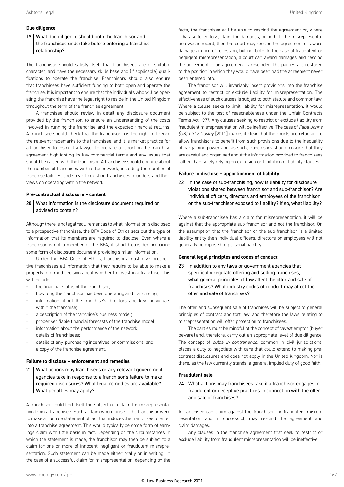#### **Due diligence**

#### 19 What due diligence should both the franchisor and the franchisee undertake before entering a franchise relationship?

The franchisor should satisfy itself that franchisees are of suitable character, and have the necessary skills base and (if applicable) qualifications to operate the franchise. Franchisors should also ensure that franchisees have sufficient funding to both open and operate the franchise. It is important to ensure that the individuals who will be operating the franchise have the legal right to reside in the United Kingdom throughout the term of the franchise agreement.

A franchisee should review in detail any disclosure document provided by the franchisor, to ensure an understanding of the costs involved in running the franchise and the expected financial returns. A franchisee should check that the franchisor has the right to licence the relevant trademarks to the franchisee, and it is market practice for a franchisee to instruct a lawyer to prepare a report on the franchise agreement highlighting its key commercial terms and any issues that should be raised with the franchisor. A franchisee should enquire about the number of franchises within the network, including the number of franchise failures, and speak to existing franchisees to understand their views on operating within the network.

#### **Pre-contractual disclosure – content**

#### 20 What information is the disclosure document required or advised to contain?

Although there is no legal requirement as to what information is disclosed to a prospective franchisee, the BFA Code of Ethics sets out the type of information that its members are required to disclose. Even where a franchisor is not a member of the BFA, it should consider preparing some form of disclosure document providing similar information.

Under the BFA Code of Ethics, franchisors must give prospective franchisees all information that they require to be able to make a properly informed decision about whether to invest in a franchise. This will include:

- the financial status of the franchisor;
- how long the franchisor has been operating and franchising;
- information about the franchise's directors and key individuals within the franchise;
- a description of the franchise's business model;
- proper verifiable financial forecasts of the franchise model;
- information about the performance of the network;
- details of franchisees;
- details of any 'purchasing incentives' or commissions; and
- a copy of the franchise agreement.

#### **Failure to disclose – enforcement and remedies**

21 | What actions may franchisees or any relevant government agencies take in response to a franchisor's failure to make required disclosures? What legal remedies are available? What penalties may apply?

A franchisor could find itself the subject of a claim for misrepresentation from a franchisee. Such a claim would arise if the franchisor were to make an untrue statement of fact that induces the franchisee to enter into a franchise agreement. This would typically be some form of earnings claim with little basis in fact. Depending on the circumstances in which the statement is made, the franchisor may then be subject to a claim for one or more of innocent, negligent or fraudulent misrepresentation. Such statement can be made either orally or in writing. In the case of a successful claim for misrepresentation, depending on the facts, the franchisee will be able to rescind the agreement or, where it has suffered loss, claim for damages, or both. If the misrepresentation was innocent, then the court may rescind the agreement or award damages in lieu of recession, but not both. In the case of fraudulent or negligent misrepresentation, a court can award damages and rescind the agreement. If an agreement is rescinded, the parties are restored to the position in which they would have been had the agreement never been entered into.

The franchisor will invariably insert provisions into the franchise agreement to restrict or exclude liability for misrepresentation. The effectiveness of such clauses is subject to both statute and common law. Where a clause seeks to limit liability for misrepresentation, it would be subject to the test of reasonableness under the Unfair Contracts Terms Act 1977. Any clauses seeking to restrict or exclude liability from fraudulent misrepresentation will be ineffective. The case of *Papa-Johns (GB) Ltd v Doyley* [2011] makes it clear that the courts are reluctant to allow franchisors to benefit from such provisions due to the inequality of bargaining power and, as such, franchisors should ensure that they are careful and organised about the information provided to franchisees rather than solely relying on exclusion or limitation of liability clauses.

#### **Failure to disclose – apportionment of liability**

 $22$  In the case of sub-franchising, how is liability for disclosure violations shared between franchisor and sub-franchisor? Are individual officers, directors and employees of the franchisor or the sub-franchisor exposed to liability? If so, what liability?

Where a sub-franchisee has a claim for misrepresentation, it will be against that the appropriate sub-franchisor and not the franchisor. On the assumption that the franchisor or the sub-franchisor is a limited liability entity then individual officers, directors or employees will not generally be exposed to personal liability.

#### **General legal principles and codes of conduct**

 $23$  In addition to any laws or government agencies that specifically regulate offering and selling franchises, what general principles of law affect the offer and sale of franchises? What industry codes of conduct may affect the offer and sale of franchises?

The offer and subsequent sale of franchises will be subject to general principles of contract and tort law, and therefore the laws relating to misrepresentation will offer protection to franchisees.

The parties must be mindful of the concept of caveat emptor (buyer beware) and, therefore, carry out an appropriate level of due diligence. The concept of *culpa in contrahendo*, common in civil jurisdictions, places a duty to negotiate with care that could extend to making precontract disclosures and does not apply in the United Kingdom. Nor is there, as the law currently stands, a general implied duty of good faith.

#### **Fraudulent sale**

24 What actions may franchisees take if a franchisor engages in fraudulent or deceptive practices in connection with the offer and sale of franchises?

A franchisee can claim against the franchisor for fraudulent misrepresentation and, if successful, may rescind the agreement and claim damages.

Any clauses in the franchise agreement that seek to restrict or exclude liability from fraudulent misrepresentation will be ineffective.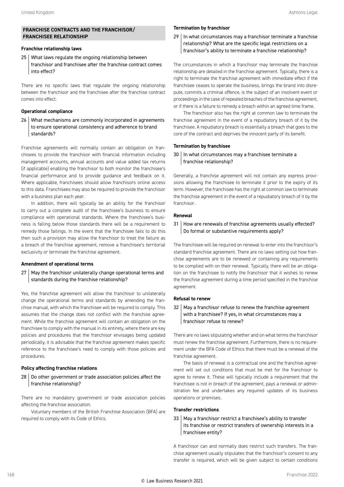#### **FRANCHISE CONTRACTS AND THE FRANCHISOR/ FRANCHISEE RELATIONSHIP**

#### **Franchise relationship laws**

25 What laws regulate the ongoing relationship between franchisor and franchisee after the franchise contract comes into effect?

There are no specific laws that regulate the ongoing relationship between the franchisor and the franchisee after the franchise contract comes into effect.

#### **Operational compliance**

26 What mechanisms are commonly incorporated in agreements to ensure operational consistency and adherence to brand standards?

Franchise agreements will normally contain an obligation on franchisees to provide the franchisor with financial information including management accounts, annual accounts and value added tax returns (if applicable) enabling the franchisor to both monitor the franchisee's financial performance and to provide guidance and feedback on it. Where applicable, franchisees should allow franchisors online access to this data. Franchisees may also be required to provide the franchisor with a business plan each year.

In addition, there will typically be an ability for the franchisor to carry out a complete audit of the franchisee's business to ensure compliance with operational standards. Where the franchisee's business is falling below those standards there will be a requirement to remedy those failings. In the event that the franchisee fails to do this then such a provision may allow the franchisor to treat the failure as a breach of the franchise agreement, remove a franchisee's territorial exclusivity or terminate the franchise agreement.

#### **Amendment of operational terms**

#### 27 May the franchisor unilaterally change operational terms and standards during the franchise relationship?

Yes, the franchise agreement will allow the franchisor to unilaterally change the operational terms and standards by amending the franchise manual, with which the franchisee will be required to comply. This assumes that the change does not conflict with the franchise agreement. While the franchise agreement will contain an obligation on the franchisee to comply with the manual in its entirety, where there are key policies and procedures that the franchisor envisages being updated periodically, it is advisable that the franchise agreement makes specific reference to the franchisee's need to comply with those policies and procedures.

#### **Policy affecting franchise relations**

28 | Do other government or trade association policies affect the franchise relationship?

There are no mandatory government or trade association policies affecting the franchise association.

Voluntary members of the British Franchise Association (BFA) are required to comply with its Code of Ethics.

#### **Termination by franchisor**

29 | In what circumstances may a franchisor terminate a franchise relationship? What are the specific legal restrictions on a franchisor's ability to terminate a franchise relationship?

The circumstances in which a franchisor may terminate the franchise relationship are detailed in the franchise agreement. Typically, there is a right to terminate the franchise agreement with immediate effect if the franchisee ceases to operate the business, brings the brand into disrepute, commits a criminal offence, is the subject of an insolvent event or proceedings in the case of repeated breaches of the franchise agreement, or if there is a failure to remedy a breach within an agreed time frame.

The franchisor also has the right at common law to terminate the franchise agreement in the event of a repudiatory breach of it by the franchisee. A repudiatory breach is essentially a breach that goes to the core of the contract and deprives the innocent party of its benefit.

#### **Termination by franchisee**

30 | In what circumstances may a franchisee terminate a franchise relationship?

Generally, a franchise agreement will not contain any express provisions allowing the franchisee to terminate it prior to the expiry of its term. However, the franchisee has the right at common law to terminate the franchise agreement in the event of a repudiatory breach of it by the franchisor.

#### **Renewal**

#### 31 | How are renewals of franchise agreements usually effected? Do formal or substantive requirements apply?

The franchisee will be required on renewal to enter into the franchisor's standard franchise agreement. There are no laws setting out how franchise agreements are to be renewed or containing any requirements to be complied with on their renewal. Typically, there will be an obligation on the franchisee to notify the franchisor that it wishes to renew the franchise agreement during a time period specified in the franchise agreement.

#### **Refusal to renew**

32 May a franchisor refuse to renew the franchise agreement with a franchisee? If yes, in what circumstances may a franchisor refuse to renew?

There are no laws stipulating whether and on what terms the franchisor must renew the franchise agreement. Furthermore, there is no requirement under the BFA Code of Ethics that there must be a renewal of the franchise agreement.

The basis of renewal is a contractual one and the franchise agreement will set out conditions that must be met for the franchisor to agree to renew it. These will typically include a requirement that the franchisee is not in breach of the agreement, pays a renewal or administration fee and undertakes any required updates of its business operations or premises.

#### **Transfer restrictions**

#### 33 May a franchisor restrict a franchisee's ability to transfer its franchise or restrict transfers of ownership interests in a franchisee entity?

A franchisor can and normally does restrict such transfers. The franchise agreement usually stipulates that the franchisor's consent to any transfer is required, which will be given subject to certain conditions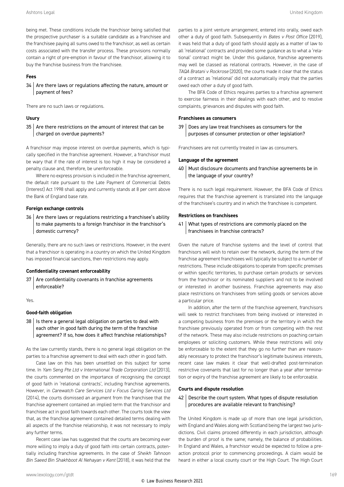being met. These conditions include the franchisor being satisfied that the prospective purchaser is a suitable candidate as a franchisee and the franchisee paying all sums owed to the franchisor, as well as certain costs associated with the transfer process. These provisions normally contain a right of pre-emption in favour of the franchisor, allowing it to buy the franchise business from the franchisee.

#### **Fees**

 $34$  Are there laws or regulations affecting the nature, amount or payment of fees?

There are no such laws or regulations.

#### **Usury**

 $35$  Are there restrictions on the amount of interest that can be charged on overdue payments?

A franchisor may impose interest on overdue payments, which is typically specified in the franchise agreement. However, a franchisor must be wary that if the rate of interest is too high it may be considered a penalty clause and, therefore, be unenforceable.

Where no express provision is included in the franchise agreement, the default rate pursuant to the Late Payment of Commercial Debts (Interest) Act 1998 shall apply and currently stands at 8 per cent above the Bank of England base rate.

#### **Foreign exchange controls**

 $36$  Are there laws or regulations restricting a franchisee's ability to make payments to a foreign franchisor in the franchisor's domestic currency?

Generally, there are no such laws or restrictions. However, in the event that a franchisor is operating in a country on which the United Kingdom has imposed financial sanctions, then restrictions may apply.

#### **Confidentiality covenant enforceability**

37 | Are confidentiality covenants in franchise agreements enforceable?

Yes.

#### **Good-faith obligation**

 $38$  | Is there a general legal obligation on parties to deal with each other in good faith during the term of the franchise agreement? If so, how does it affect franchise relationships?

As the law currently stands, there is no general legal obligation on the parties to a franchise agreement to deal with each other in good faith.

Case law on this has been unsettled on this subject for some time. In *Yam Seng Pte Ltd v International Trade Corporation Ltd* (2013), the courts commented on the importance of recognising the concept of good faith in 'relational contracts', including franchise agreements. However, in *Carewatch Care Services Ltd v Focus Caring Services Ltd* (2014), the courts dismissed an argument from the franchisee that the franchise agreement contained an implied term that the franchisor and franchisee act in good faith towards each other. The courts took the view that, as the franchise agreement contained detailed terms dealing with all aspects of the franchise relationship, it was not necessary to imply any further terms.

Recent case law has suggested that the courts are becoming ever more willing to imply a duty of good faith into certain contracts, potentially including franchise agreements. In the case of *Sheikh Tahnoon Bin Saeed Bin Shakhboot Al Nehayan v Kent* (2018), it was held that the parties to a joint venture arrangement, entered into orally, owed each other a duty of good faith. Subsequently in *Bates v Post Office* (2019), it was held that a duty of good faith should apply as a matter of law to all 'relational' contracts and provided some guidance as to what a 'relational' contract might be. Under this guidance, franchise agreements may well be classed as relational contracts. However, in the case of *TAQA Bratani v Rockrose* (2020), the courts made it clear that the status of a contract as 'relational' did not automatically imply that the parties owed each other a duty of good faith.

The BFA Code of Ethics requires parties to a franchise agreement to exercise fairness in their dealings with each other, and to resolve complaints, grievances and disputes with good faith.

#### **Franchisees as consumers**

39 Does any law treat franchisees as consumers for the purposes of consumer protection or other legislation?

Franchisees are not currently treated in law as consumers.

#### **Language of the agreement**

40 | Must disclosure documents and franchise agreements be in the language of your country?

There is no such legal requirement. However, the BFA Code of Ethics requires that the franchise agreement is translated into the language of the franchisee's country and in which the franchisee is competent.

#### **Restrictions on franchisees**

41 What types of restrictions are commonly placed on the franchisees in franchise contracts?

Given the nature of franchise systems and the level of control that franchisors will wish to retain over the network, during the term of the franchise agreement franchisees will typically be subject to a number of restrictions. These include obligations to operate from specific premises or within specific territories, to purchase certain products or services from the franchisor or its nominated suppliers and not to be involved or interested in another business. Franchise agreements may also place restrictions on franchisees from selling goods or services above a particular price.

In addition, after the term of the franchise agreement, franchisors will seek to restrict franchisees from being involved or interested in a competing business from the premises or the territory in which the franchisee previously operated from or from competing with the rest of the network. These may also include restrictions on poaching certain employees or soliciting customers. While these restrictions will only be enforceable to the extent that they go no further than are reasonably necessary to protect the franchisor's legitimate business interests, recent case law makes it clear that well-drafted post-termination restrictive covenants that last for no longer than a year after termination or expiry of the franchise agreement are likely to be enforceable.

#### **Courts and dispute resolution**

42 Describe the court system. What types of dispute resolution procedures are available relevant to franchising?

The United Kingdom is made up of more than one legal jurisdiction, with England and Wales along with Scotland being the largest two jurisdictions. Civil claims proceed differently in each jurisdiction, although the burden of proof is the same; namely, the balance of probabilities. In England and Wales, a franchisor would be expected to follow a preaction protocol prior to commencing proceedings. A claim would be heard in either a local county court or the High Court. The High Court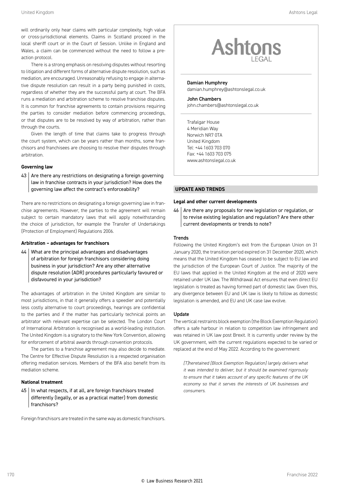will ordinarily only hear claims with particular complexity, high value or cross-jurisdictional elements. Claims in Scotland proceed in the local sheriff court or in the Court of Session. Unlike in England and Wales, a claim can be commenced without the need to follow a preaction protocol.

There is a strong emphasis on resolving disputes without resorting to litigation and different forms of alternative dispute resolution, such as mediation, are encouraged. Unreasonably refusing to engage in alternative dispute resolution can result in a party being punished in costs, regardless of whether they are the successful party at court. The BFA runs a mediation and arbitration scheme to resolve franchise disputes. It is common for franchise agreements to contain provisions requiring the parties to consider mediation before commencing proceedings, or that disputes are to be resolved by way of arbitration, rather than through the courts.

Given the length of time that claims take to progress through the court system, which can be years rather than months, some franchisors and franchisees are choosing to resolve their disputes through arbitration.

#### **Governing law**

#### $43$  Are there any restrictions on designating a foreign governing law in franchise contracts in your jurisdiction? How does the governing law affect the contract's enforceability?

There are no restrictions on designating a foreign governing law in franchise agreements. However, the parties to the agreement will remain subject to certain mandatory laws that will apply notwithstanding the choice of jurisdiction, for example the Transfer of Undertakings (Protection of Employment) Regulations 2006.

#### **Arbitration – advantages for franchisors**

 $44$  What are the principal advantages and disadvantages of arbitration for foreign franchisors considering doing business in your jurisdiction? Are any other alternative dispute resolution (ADR) procedures particularly favoured or disfavoured in your jurisdiction?

The advantages of arbitration in the United Kingdom are similar to most jurisdictions, in that it generally offers a speedier and potentially less costly alternative to court proceedings, hearings are confidential to the parties and if the matter has particularly technical points an arbitrator with relevant expertise can be selected. The London Court of International Arbitration is recognised as a world-leading institution. The United Kingdom is a signatory to the New York Convention, allowing for enforcement of arbitral awards through convention protocols.

The parties to a franchise agreement may also decide to mediate. The Centre for Effective Dispute Resolution is a respected organisation offering mediation services. Members of the BFA also benefit from its mediation scheme.

#### **National treatment**

 $45$  | In what respects, if at all, are foreign franchisors treated differently (legally, or as a practical matter) from domestic franchisors?

Foreign franchisors are treated in the same way as domestic franchisors.



#### Damian Humphrey

damian.humphrey@ashtonslegal.co.uk

John Chambers john.chambers@ashtonslegal.co.uk

Trafalgar House 4 Meridian Way Norwich NR7 0TA United Kingdom Tel: +44 1603 703 070 Fax: +44 1603 703 075 www.ashtonslegal.co.uk

#### **UPDATE AND TRENDS**

#### **Legal and other current developments**

46 Are there any proposals for new legislation or regulation, or to revise existing legislation and regulation? Are there other current developments or trends to note?

#### **Trends**

Following the United Kingdom's exit from the European Union on 31 January 2020, the transition period expired on 31 December 2020, which means that the United Kingdom has ceased to be subject to EU law and the jurisdiction of the European Court of Justice. The majority of the EU laws that applied in the United Kingdom at the end of 2020 were retained under UK law. The Withdrawal Act ensures that even direct EU legislation is treated as having formed part of domestic law. Given this, any divergence between EU and UK law is likely to follow as domestic legislation is amended, and EU and UK case law evolve.

#### Update

The vertical restraints block exemption (the Block Exemption Regulation) offers a safe harbour in relation to competition law infringement and was retained in UK law post Brexit. It is currently under review by the UK government, with the current regulations expected to be varied or replaced at the end of May 2022. According to the government:

*[T]heretained [Block Exemption Regulation] largely delivers what it was intended to deliver, but it should be examined rigorously to ensure that it takes account of any specific features of the UK economy so that it serves the interests of UK businesses and consumers.*